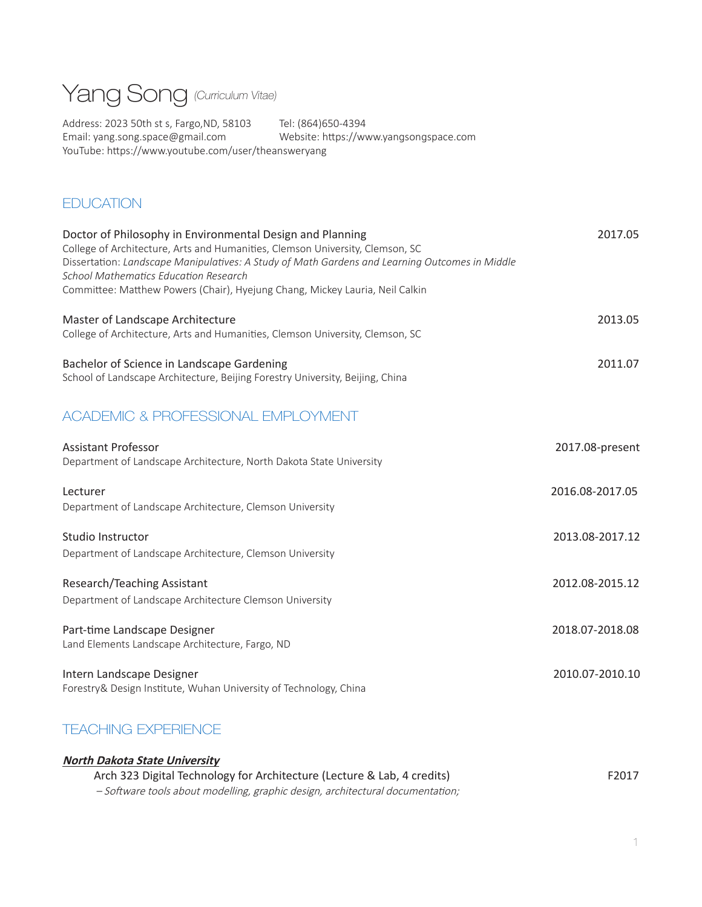

Address: 2023 50th st s, Fargo,ND, 58103 Tel: (864)650-4394 Email: yang.song.space@gmail.com Website: https://www.yangsongspace.com YouTube: https://www.youtube.com/user/theansweryang

# **EDUCATION**

| Doctor of Philosophy in Environmental Design and Planning<br>College of Architecture, Arts and Humanities, Clemson University, Clemson, SC<br>Dissertation: Landscape Manipulatives: A Study of Math Gardens and Learning Outcomes in Middle<br><b>School Mathematics Education Research</b><br>Committee: Matthew Powers (Chair), Hyejung Chang, Mickey Lauria, Neil Calkin | 2017.05         |
|------------------------------------------------------------------------------------------------------------------------------------------------------------------------------------------------------------------------------------------------------------------------------------------------------------------------------------------------------------------------------|-----------------|
| Master of Landscape Architecture<br>College of Architecture, Arts and Humanities, Clemson University, Clemson, SC                                                                                                                                                                                                                                                            | 2013.05         |
| Bachelor of Science in Landscape Gardening<br>School of Landscape Architecture, Beijing Forestry University, Beijing, China                                                                                                                                                                                                                                                  | 2011.07         |
| ACADEMIC & PROFESSIONAL EMPLOYMENT                                                                                                                                                                                                                                                                                                                                           |                 |
| <b>Assistant Professor</b><br>Department of Landscape Architecture, North Dakota State University                                                                                                                                                                                                                                                                            | 2017.08-present |
| Lecturer<br>Department of Landscape Architecture, Clemson University                                                                                                                                                                                                                                                                                                         | 2016.08-2017.05 |
| Studio Instructor<br>Department of Landscape Architecture, Clemson University                                                                                                                                                                                                                                                                                                | 2013.08-2017.12 |
| Research/Teaching Assistant<br>Department of Landscape Architecture Clemson University                                                                                                                                                                                                                                                                                       | 2012.08-2015.12 |
| Part-time Landscape Designer<br>Land Elements Landscape Architecture, Fargo, ND                                                                                                                                                                                                                                                                                              | 2018.07-2018.08 |
| Intern Landscape Designer<br>Forestry& Design Institute, Wuhan University of Technology, China                                                                                                                                                                                                                                                                               | 2010.07-2010.10 |

# TEACHING EXPERIENCE

| <b>North Dakota State University</b>                                           |       |
|--------------------------------------------------------------------------------|-------|
| Arch 323 Digital Technology for Architecture (Lecture & Lab, 4 credits)        | F2017 |
| - Software tools about modelling, graphic design, architectural documentation; |       |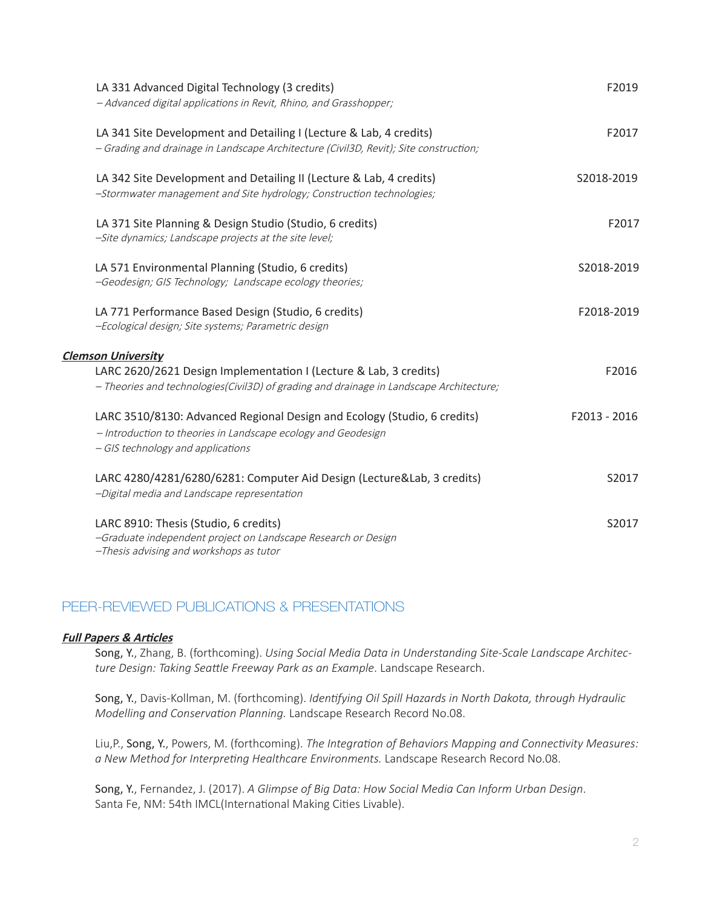| LA 331 Advanced Digital Technology (3 credits)<br>- Advanced digital applications in Revit, Rhino, and Grasshopper;                                                            | F2019        |
|--------------------------------------------------------------------------------------------------------------------------------------------------------------------------------|--------------|
| LA 341 Site Development and Detailing I (Lecture & Lab, 4 credits)<br>- Grading and drainage in Landscape Architecture (Civil3D, Revit); Site construction;                    | F2017        |
| LA 342 Site Development and Detailing II (Lecture & Lab, 4 credits)<br>-Stormwater management and Site hydrology; Construction technologies;                                   | S2018-2019   |
| LA 371 Site Planning & Design Studio (Studio, 6 credits)<br>-Site dynamics; Landscape projects at the site level;                                                              | F2017        |
| LA 571 Environmental Planning (Studio, 6 credits)<br>-Geodesign; GIS Technology; Landscape ecology theories;                                                                   | S2018-2019   |
| LA 771 Performance Based Design (Studio, 6 credits)<br>-Ecological design; Site systems; Parametric design                                                                     | F2018-2019   |
| <b>Clemson University</b>                                                                                                                                                      |              |
| LARC 2620/2621 Design Implementation I (Lecture & Lab, 3 credits)<br>- Theories and technologies(Civil3D) of grading and drainage in Landscape Architecture;                   | F2016        |
| LARC 3510/8130: Advanced Regional Design and Ecology (Studio, 6 credits)<br>- Introduction to theories in Landscape ecology and Geodesign<br>- GIS technology and applications | F2013 - 2016 |
| LARC 4280/4281/6280/6281: Computer Aid Design (Lecture&Lab, 3 credits)<br>-Digital media and Landscape representation                                                          | S2017        |
| LARC 8910: Thesis (Studio, 6 credits)<br>-Graduate independent project on Landscape Research or Design<br>-Thesis advising and workshops as tutor                              | S2017        |

# PEER-REVIEWED PUBLICATIONS & PRESENTATIONS

### **Full Papers & Articles**

Song, Y., Zhang, B. (forthcoming). *Using Social Media Data in Understanding Site-Scale Landscape Architecture Design: Taking Seattle Freeway Park as an Example*. Landscape Research.

Song, Y., Davis-Kollman, M. (forthcoming). *Identifying Oil Spill Hazards in North Dakota, through Hydraulic Modelling and Conservation Planning.* Landscape Research Record No.08.

Liu,P., Song, Y., Powers, M. (forthcoming). *The Integration of Behaviors Mapping and Connectivity Measures: a New Method for Interpreting Healthcare Environments.* Landscape Research Record No.08.

Song, Y., Fernandez, J. (2017). *A Glimpse of Big Data: How Social Media Can Inform Urban Design*. Santa Fe, NM: 54th IMCL(International Making Cities Livable).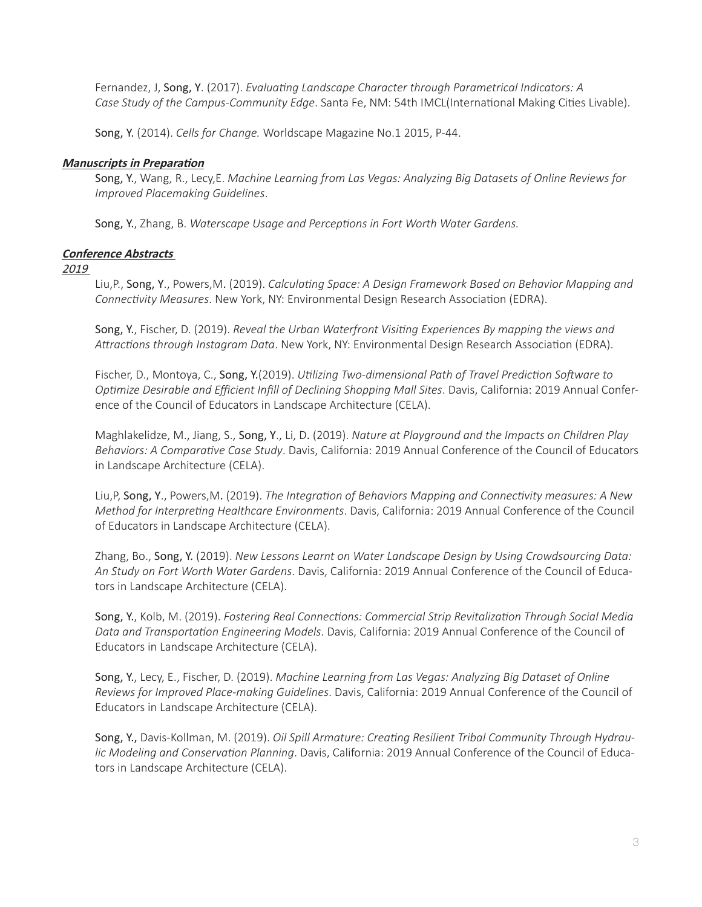Fernandez, J, Song, Y. (2017). *Evaluating Landscape Character through Parametrical Indicators: A Case Study of the Campus-Community Edge*. Santa Fe, NM: 54th IMCL(International Making Cities Livable).

Song, Y. (2014). *Cells for Change.* Worldscape Magazine No.1 2015, P-44.

### **Manuscripts in Preparation**

Song, Y., Wang, R., Lecy,E. *Machine Learning from Las Vegas: Analyzing Big Datasets of Online Reviews for Improved Placemaking Guidelines*.

Song, Y., Zhang, B. *Waterscape Usage and Perceptions in Fort Worth Water Gardens.*

### **Conference Abstracts**

2019

Liu,P., Song, Y., Powers,M. (2019). *Calculating Space: A Design Framework Based on Behavior Mapping and Connectivity Measures*. New York, NY: Environmental Design Research Association (EDRA).

Song, Y., Fischer, D. (2019). *Reveal the Urban Waterfront Visiting Experiences By mapping the views and Attractions through Instagram Data*. New York, NY: Environmental Design Research Association (EDRA).

Fischer, D., Montoya, C., Song, Y.(2019). *Utilizing Two-dimensional Path of Travel Prediction Software to Optimize Desirable and Efficient Infill of Declining Shopping Mall Sites*. Davis, California: 2019 Annual Conference of the Council of Educators in Landscape Architecture (CELA).

Maghlakelidze, M., Jiang, S., Song, Y., Li, D. (2019). *Nature at Playground and the Impacts on Children Play Behaviors: A Comparative Case Study*. Davis, California: 2019 Annual Conference of the Council of Educators in Landscape Architecture (CELA).

Liu,P, Song, Y., Powers,M. (2019). *The Integration of Behaviors Mapping and Connectivity measures: A New Method for Interpreting Healthcare Environments*. Davis, California: 2019 Annual Conference of the Council of Educators in Landscape Architecture (CELA).

Zhang, Bo., Song, Y. (2019). *New Lessons Learnt on Water Landscape Design by Using Crowdsourcing Data: An Study on Fort Worth Water Gardens*. Davis, California: 2019 Annual Conference of the Council of Educators in Landscape Architecture (CELA).

Song, Y., Kolb, M. (2019). *Fostering Real Connections: Commercial Strip Revitalization Through Social Media Data and Transportation Engineering Models*. Davis, California: 2019 Annual Conference of the Council of Educators in Landscape Architecture (CELA).

Song, Y., Lecy, E., Fischer, D. (2019). *Machine Learning from Las Vegas: Analyzing Big Dataset of Online Reviews for Improved Place-making Guidelines*. Davis, California: 2019 Annual Conference of the Council of Educators in Landscape Architecture (CELA).

Song, Y., Davis-Kollman, M. (2019). *Oil Spill Armature: Creating Resilient Tribal Community Through Hydraulic Modeling and Conservation Planning*. Davis, California: 2019 Annual Conference of the Council of Educators in Landscape Architecture (CELA).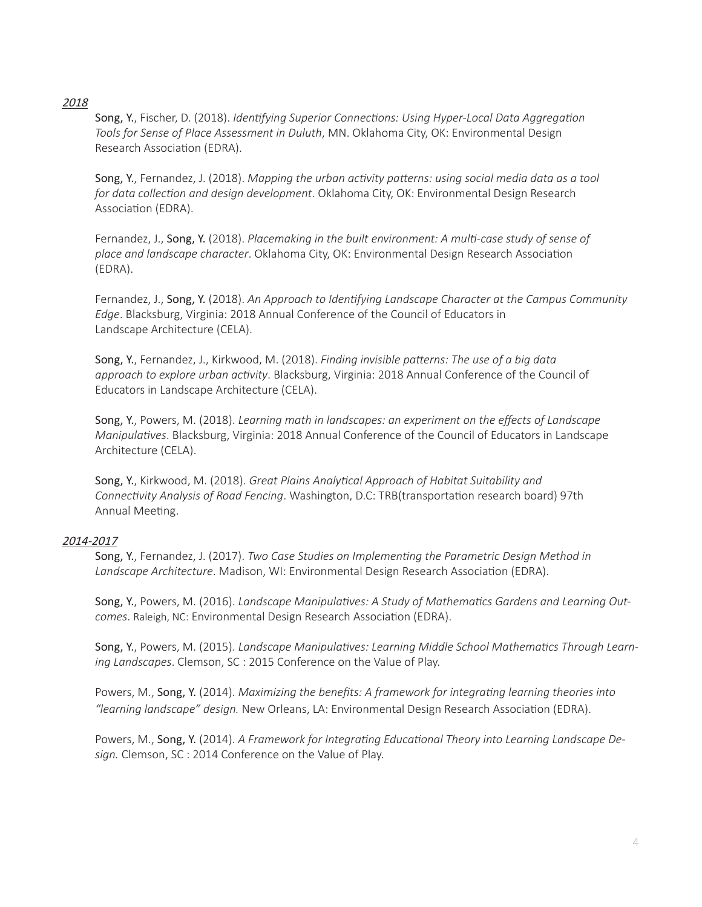### 2018

Song, Y., Fischer, D. (2018). *Identifying Superior Connections: Using Hyper-Local Data Aggregation Tools for Sense of Place Assessment in Duluth*, MN. Oklahoma City, OK: Environmental Design Research Association (EDRA).

Song, Y., Fernandez, J. (2018). *Mapping the urban activity patterns: using social media data as a tool for data collection and design development*. Oklahoma City, OK: Environmental Design Research Association (EDRA).

Fernandez, J., Song, Y. (2018). *Placemaking in the built environment: A multi-case study of sense of place and landscape character*. Oklahoma City, OK: Environmental Design Research Association (EDRA).

Fernandez, J., Song, Y. (2018). *An Approach to Identifying Landscape Character at the Campus Community Edge*. Blacksburg, Virginia: 2018 Annual Conference of the Council of Educators in Landscape Architecture (CELA).

Song, Y., Fernandez, J., Kirkwood, M. (2018). *Finding invisible patterns: The use of a big data approach to explore urban activity*. Blacksburg, Virginia: 2018 Annual Conference of the Council of Educators in Landscape Architecture (CELA).

Song, Y., Powers, M. (2018). *Learning math in landscapes: an experiment on the effects of Landscape Manipulatives*. Blacksburg, Virginia: 2018 Annual Conference of the Council of Educators in Landscape Architecture (CELA).

Song, Y., Kirkwood, M. (2018). *Great Plains Analytical Approach of Habitat Suitability and Connectivity Analysis of Road Fencing*. Washington, D.C: TRB(transportation research board) 97th Annual Meeting.

### 2014-2017

Song, Y., Fernandez, J. (2017). *Two Case Studies on Implementing the Parametric Design Method in Landscape Architecture*. Madison, WI: Environmental Design Research Association (EDRA).

Song, Y., Powers, M. (2016). *Landscape Manipulatives: A Study of Mathematics Gardens and Learning Outcomes*. Raleigh, NC: Environmental Design Research Association (EDRA).

Song, Y., Powers, M. (2015). *Landscape Manipulatives: Learning Middle School Mathematics Through Learning Landscapes*. Clemson, SC : 2015 Conference on the Value of Play.

Powers, M., Song, Y. (2014). *Maximizing the benefits: A framework for integrating learning theories into "learning landscape" design.* New Orleans, LA: Environmental Design Research Association (EDRA).

Powers, M., Song, Y. (2014). *A Framework for Integrating Educational Theory into Learning Landscape Design.* Clemson, SC : 2014 Conference on the Value of Play.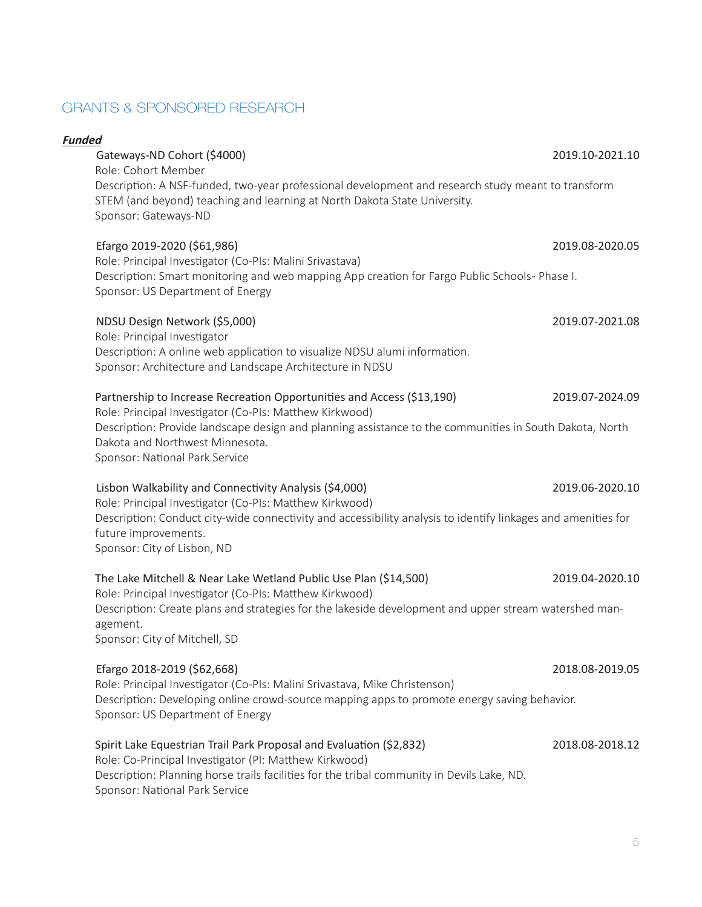# GRANTS & SPONSORED RESEARCH

### **Funded**

### Gateways-ND Cohort (\$4000) 2019.10-2021.10

Role: Cohort Member Description: A NSF-funded, two-year professional development and research study meant to transform STEM (and beyond) teaching and learning at North Dakota State University. Sponsor: Gateways-ND

### Efargo 2019-2020 (\$61,986) 2019.08-2020.05

Role: Principal Investigator (Co-PIs: Malini Srivastava) Description: Smart monitoring and web mapping App creation for Fargo Public Schools- Phase I. Sponsor: US Department of Energy

### NDSU Design Network (\$5,000) 2019.07-2021.08

Role: Principal Investigator Description: A online web application to visualize NDSU alumi information. Sponsor: Architecture and Landscape Architecture in NDSU

### Partnership to Increase Recreation Opportunities and Access (\$13,190) 2019.07-2024.09

Role: Principal Investigator (Co-PIs: Matthew Kirkwood) Description: Provide landscape design and planning assistance to the communities in South Dakota, North Dakota and Northwest Minnesota. Sponsor: National Park Service

 Lisbon Walkability and Connectivity Analysis (\$4,000) 2019.06-2020.10 Role: Principal Investigator (Co-PIs: Matthew Kirkwood) Description: Conduct city-wide connectivity and accessibility analysis to identify linkages and amenities for future improvements. Sponsor: City of Lisbon, ND

### The Lake Mitchell & Near Lake Wetland Public Use Plan (\$14,500) 2019.04-2020.10 Role: Principal Investigator (Co-PIs: Matthew Kirkwood) Description: Create plans and strategies for the lakeside development and upper stream watershed management.

Sponsor: City of Mitchell, SD

### Efargo 2018-2019 (\$62,668) 2018.08-2019.05

Role: Principal Investigator (Co-PIs: Malini Srivastava, Mike Christenson) Description: Developing online crowd-source mapping apps to promote energy saving behavior. Sponsor: US Department of Energy

### Spirit Lake Equestrian Trail Park Proposal and Evaluation (\$2,832) 2018.08-2018.12

Role: Co-Principal Investigator (PI: Matthew Kirkwood) Description: Planning horse trails facilities for the tribal community in Devils Lake, ND. Sponsor: National Park Service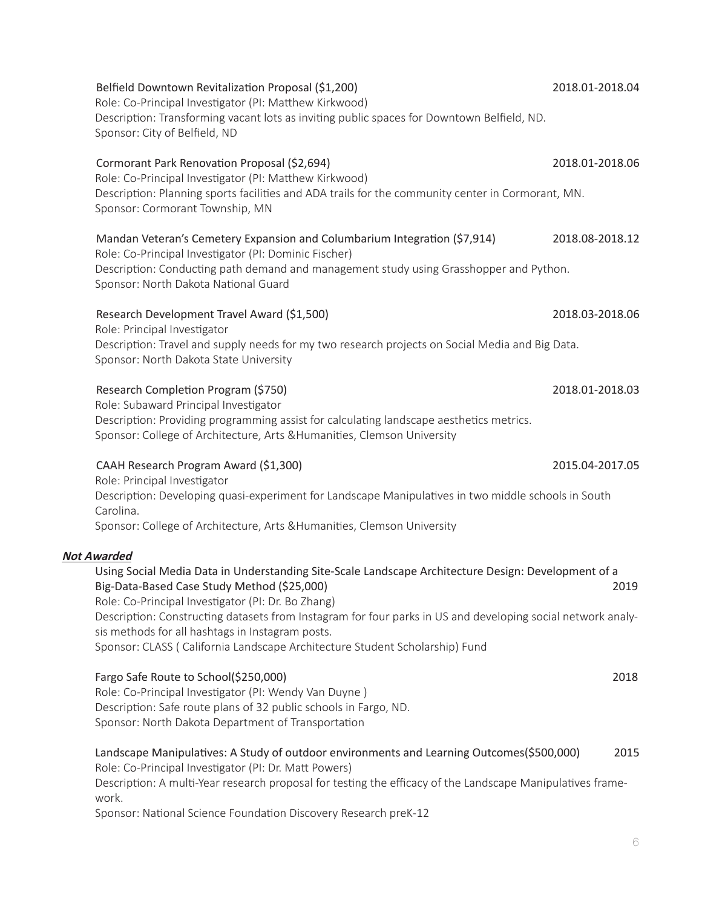| Sponsor: City of Belfield, ND                                                                                                                                                                                                                                                                                                                                                                                                                                                     |                 |
|-----------------------------------------------------------------------------------------------------------------------------------------------------------------------------------------------------------------------------------------------------------------------------------------------------------------------------------------------------------------------------------------------------------------------------------------------------------------------------------|-----------------|
| Cormorant Park Renovation Proposal (\$2,694)<br>Role: Co-Principal Investigator (PI: Matthew Kirkwood)<br>Description: Planning sports facilities and ADA trails for the community center in Cormorant, MN.<br>Sponsor: Cormorant Township, MN                                                                                                                                                                                                                                    | 2018.01-2018.06 |
| Mandan Veteran's Cemetery Expansion and Columbarium Integration (\$7,914)<br>Role: Co-Principal Investigator (PI: Dominic Fischer)<br>Description: Conducting path demand and management study using Grasshopper and Python.<br>Sponsor: North Dakota National Guard                                                                                                                                                                                                              | 2018.08-2018.12 |
| Research Development Travel Award (\$1,500)<br>Role: Principal Investigator<br>Description: Travel and supply needs for my two research projects on Social Media and Big Data.<br>Sponsor: North Dakota State University                                                                                                                                                                                                                                                          | 2018.03-2018.06 |
| Research Completion Program (\$750)<br>Role: Subaward Principal Investigator<br>Description: Providing programming assist for calculating landscape aesthetics metrics.<br>Sponsor: College of Architecture, Arts & Humanities, Clemson University                                                                                                                                                                                                                                | 2018.01-2018.03 |
| CAAH Research Program Award (\$1,300)<br>Role: Principal Investigator<br>Description: Developing quasi-experiment for Landscape Manipulatives in two middle schools in South<br>Carolina.                                                                                                                                                                                                                                                                                         | 2015.04-2017.05 |
| Sponsor: College of Architecture, Arts & Humanities, Clemson University                                                                                                                                                                                                                                                                                                                                                                                                           |                 |
| <b>Not Awarded</b><br>Using Social Media Data in Understanding Site-Scale Landscape Architecture Design: Development of a<br>Big-Data-Based Case Study Method (\$25,000)<br>Role: Co-Principal Investigator (PI: Dr. Bo Zhang)<br>Description: Constructing datasets from Instagram for four parks in US and developing social network analy-<br>sis methods for all hashtags in Instagram posts.<br>Sponsor: CLASS ( California Landscape Architecture Student Scholarship) Fund | 2019            |
| Fargo Safe Route to School(\$250,000)<br>Role: Co-Principal Investigator (PI: Wendy Van Duyne)<br>Description: Safe route plans of 32 public schools in Fargo, ND.<br>Sponsor: North Dakota Department of Transportation                                                                                                                                                                                                                                                          | 2018            |
| Landscape Manipulatives: A Study of outdoor environments and Learning Outcomes(\$500,000)<br>Role: Co-Principal Investigator (PI: Dr. Matt Powers)<br>Description: A multi-Year research proposal for testing the efficacy of the Landscape Manipulatives frame-<br>work.<br>Sponsor: National Science Foundation Discovery Research preK-12                                                                                                                                      | 2015            |
|                                                                                                                                                                                                                                                                                                                                                                                                                                                                                   | 6.              |

Role: Co-Principal Investigator (PI: Matthew Kirkwood)

Description: Transforming vacant lots as inviting public spaces for Downtown Belfield, ND.

# Belfield Downtown Revitalization Proposal (\$1,200) 2018.01-2018.04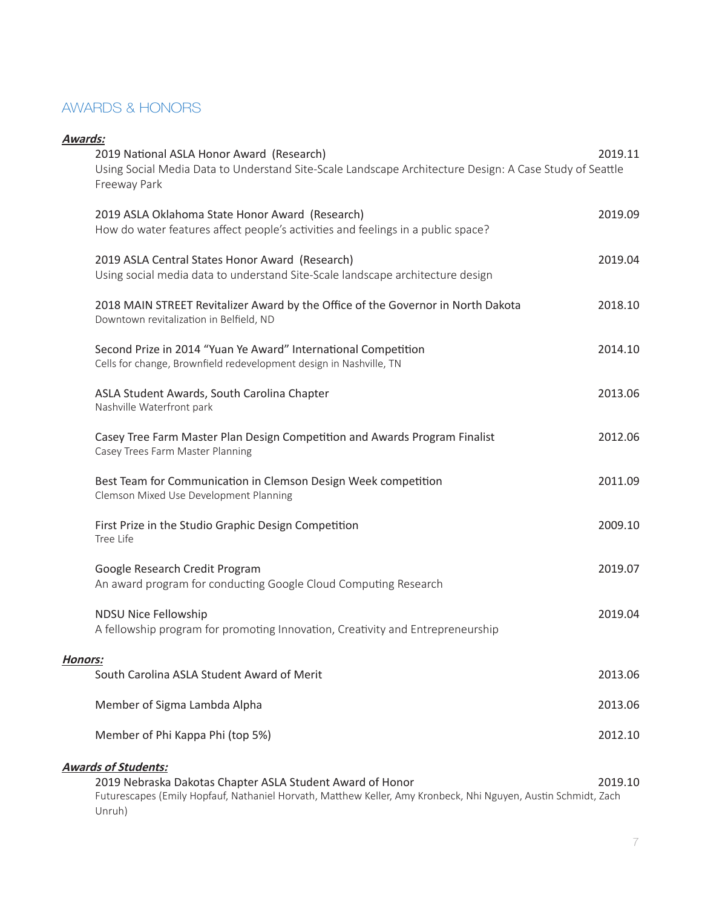# AWARDS & HONORS

| Awards: | 2019 National ASLA Honor Award (Research)<br>Using Social Media Data to Understand Site-Scale Landscape Architecture Design: A Case Study of Seattle<br>Freeway Park                                      | 2019.11 |
|---------|-----------------------------------------------------------------------------------------------------------------------------------------------------------------------------------------------------------|---------|
|         | 2019 ASLA Oklahoma State Honor Award (Research)<br>How do water features affect people's activities and feelings in a public space?                                                                       | 2019.09 |
|         | 2019 ASLA Central States Honor Award (Research)<br>Using social media data to understand Site-Scale landscape architecture design                                                                         | 2019.04 |
|         | 2018 MAIN STREET Revitalizer Award by the Office of the Governor in North Dakota<br>Downtown revitalization in Belfield, ND                                                                               | 2018.10 |
|         | Second Prize in 2014 "Yuan Ye Award" International Competition<br>Cells for change, Brownfield redevelopment design in Nashville, TN                                                                      | 2014.10 |
|         | ASLA Student Awards, South Carolina Chapter<br>Nashville Waterfront park                                                                                                                                  | 2013.06 |
|         | Casey Tree Farm Master Plan Design Competition and Awards Program Finalist<br>Casey Trees Farm Master Planning                                                                                            | 2012.06 |
|         | Best Team for Communication in Clemson Design Week competition<br>Clemson Mixed Use Development Planning                                                                                                  | 2011.09 |
|         | First Prize in the Studio Graphic Design Competition<br>Tree Life                                                                                                                                         | 2009.10 |
|         | Google Research Credit Program<br>An award program for conducting Google Cloud Computing Research                                                                                                         | 2019.07 |
|         | NDSU Nice Fellowship<br>A fellowship program for promoting Innovation, Creativity and Entrepreneurship                                                                                                    | 2019.04 |
| Honors: |                                                                                                                                                                                                           |         |
|         | South Carolina ASLA Student Award of Merit                                                                                                                                                                | 2013.06 |
|         | Member of Sigma Lambda Alpha                                                                                                                                                                              | 2013.06 |
|         | Member of Phi Kappa Phi (top 5%)                                                                                                                                                                          | 2012.10 |
|         | <b>Awards of Students:</b><br>2019 Nebraska Dakotas Chapter ASLA Student Award of Honor<br>Futurescapes (Emily Hopfauf, Nathaniel Horvath, Matthew Keller, Amy Kronbeck, Nhi Nguyen, Austin Schmidt, Zach | 2019.10 |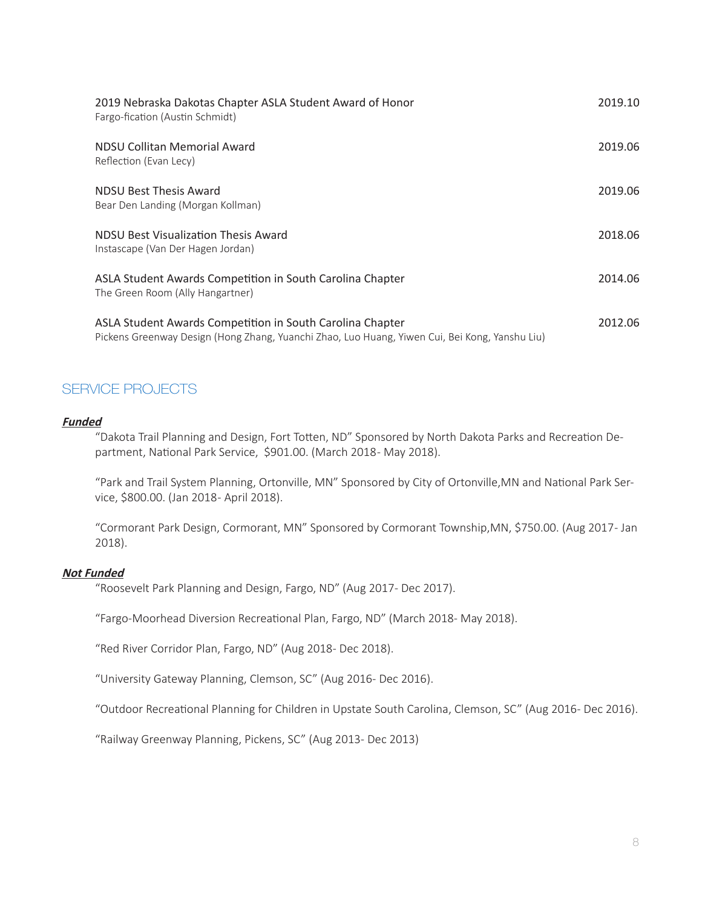| 2019 Nebraska Dakotas Chapter ASLA Student Award of Honor<br>Fargo-fication (Austin Schmidt)                                                                | 2019.10 |
|-------------------------------------------------------------------------------------------------------------------------------------------------------------|---------|
| NDSU Collitan Memorial Award<br>Reflection (Evan Lecy)                                                                                                      | 2019.06 |
| <b>NDSU Best Thesis Award</b><br>Bear Den Landing (Morgan Kollman)                                                                                          | 2019.06 |
| NDSU Best Visualization Thesis Award<br>Instascape (Van Der Hagen Jordan)                                                                                   | 2018.06 |
| ASLA Student Awards Competition in South Carolina Chapter<br>The Green Room (Ally Hangartner)                                                               | 2014.06 |
| ASLA Student Awards Competition in South Carolina Chapter<br>Pickens Greenway Design (Hong Zhang, Yuanchi Zhao, Luo Huang, Yiwen Cui, Bei Kong, Yanshu Liu) | 2012.06 |

# SERVICE PROJECTS

### **Funded**

"Dakota Trail Planning and Design, Fort Totten, ND" Sponsored by North Dakota Parks and Recreation Department, National Park Service, \$901.00. (March 2018- May 2018).

"Park and Trail System Planning, Ortonville, MN" Sponsored by City of Ortonville,MN and National Park Service, \$800.00. (Jan 2018 - April 2018).

"Cormorant Park Design, Cormorant, MN" Sponsored by Cormorant Township,MN, \$750.00. (Aug 2017 - Jan 2018).

### **Not Funded**

"Roosevelt Park Planning and Design, Fargo, ND" (Aug 2017- Dec 2017).

"Fargo-Moorhead Diversion Recreational Plan, Fargo, ND" (March 2018- May 2018).

"Red River Corridor Plan, Fargo, ND" (Aug 2018- Dec 2018).

"University Gateway Planning, Clemson, SC" (Aug 2016- Dec 2016).

"Outdoor Recreational Planning for Children in Upstate South Carolina, Clemson, SC" (Aug 2016- Dec 2016).

"Railway Greenway Planning, Pickens, SC" (Aug 2013- Dec 2013)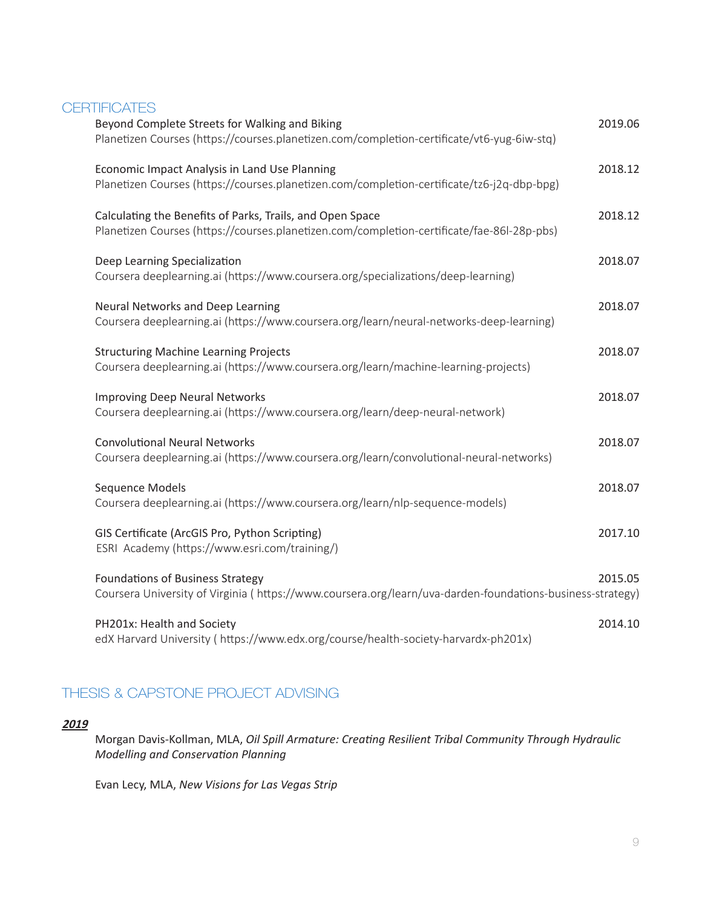### **CERTIFICATES**

| Beyond Complete Streets for Walking and Biking                                                            | 2019.06 |
|-----------------------------------------------------------------------------------------------------------|---------|
| Planetizen Courses (https://courses.planetizen.com/completion-certificate/vt6-yug-6iw-stq)                |         |
| Economic Impact Analysis in Land Use Planning                                                             | 2018.12 |
| Planetizen Courses (https://courses.planetizen.com/completion-certificate/tz6-j2q-dbp-bpg)                |         |
| Calculating the Benefits of Parks, Trails, and Open Space                                                 | 2018.12 |
| Planetizen Courses (https://courses.planetizen.com/completion-certificate/fae-86l-28p-pbs)                |         |
| Deep Learning Specialization                                                                              | 2018.07 |
| Coursera deeplearning.ai (https://www.coursera.org/specializations/deep-learning)                         |         |
| Neural Networks and Deep Learning                                                                         | 2018.07 |
| Coursera deeplearning.ai (https://www.coursera.org/learn/neural-networks-deep-learning)                   |         |
| <b>Structuring Machine Learning Projects</b>                                                              | 2018.07 |
| Coursera deeplearning.ai (https://www.coursera.org/learn/machine-learning-projects)                       |         |
| <b>Improving Deep Neural Networks</b>                                                                     | 2018.07 |
| Coursera deeplearning.ai (https://www.coursera.org/learn/deep-neural-network)                             |         |
| <b>Convolutional Neural Networks</b>                                                                      | 2018.07 |
| Coursera deeplearning.ai (https://www.coursera.org/learn/convolutional-neural-networks)                   |         |
| Sequence Models                                                                                           | 2018.07 |
| Coursera deeplearning.ai (https://www.coursera.org/learn/nlp-sequence-models)                             |         |
| GIS Certificate (ArcGIS Pro, Python Scripting)                                                            | 2017.10 |
| ESRI Academy (https://www.esri.com/training/)                                                             |         |
| <b>Foundations of Business Strategy</b>                                                                   | 2015.05 |
| Coursera University of Virginia (https://www.coursera.org/learn/uva-darden-foundations-business-strategy) |         |
| PH201x: Health and Society                                                                                | 2014.10 |
| edX Harvard University (https://www.edx.org/course/health-society-harvardx-ph201x)                        |         |

# THESIS & CAPSTONE PROJECT ADVISING

### **<sup>2019</sup>**

Morgan Davis-Kollman, MLA, *Oil Spill Armature: Creating Resilient Tribal Community Through Hydraulic Modelling and Conservation Planning*

Evan Lecy, MLA, *New Visions for Las Vegas Strip*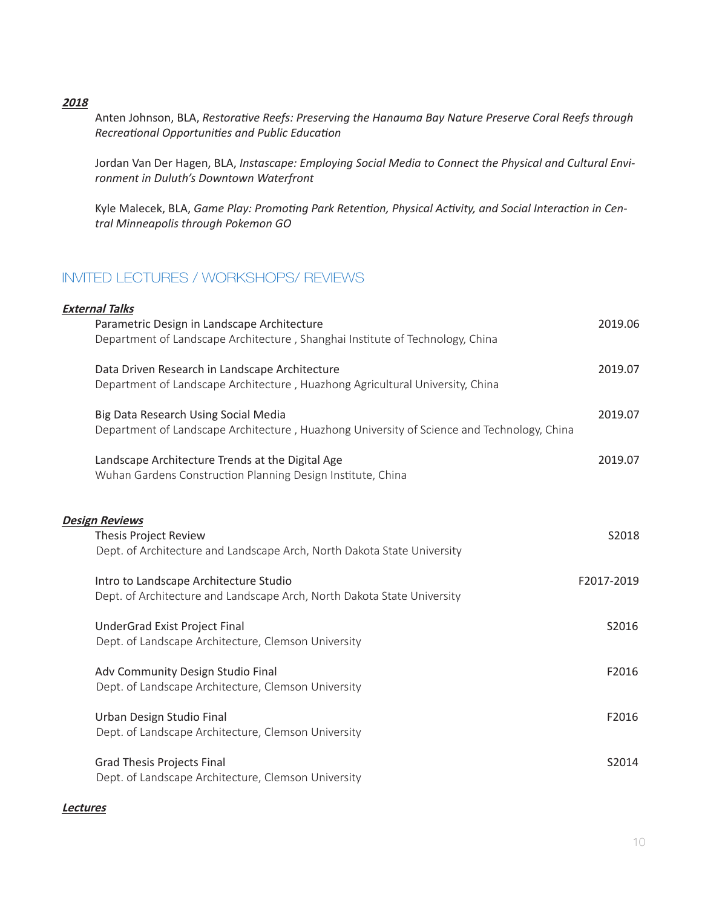**<sup>2018</sup>**

Anten Johnson, BLA, *Restorative Reefs: Preserving the Hanauma Bay Nature Preserve Coral Reefs through Recreational Opportunities and Public Education*

Jordan Van Der Hagen, BLA, *Instascape: Employing Social Media to Connect the Physical and Cultural Environment in Duluth's Downtown Waterfront*

Kyle Malecek, BLA, *Game Play: Promoting Park Retention, Physical Activity, and Social Interaction in Central Minneapolis through Pokemon GO*

# INVITED LECTURES / WORKSHOPS/ REVIEWS

| <b>External Talks</b>                                                                      |            |
|--------------------------------------------------------------------------------------------|------------|
| Parametric Design in Landscape Architecture                                                | 2019.06    |
| Department of Landscape Architecture, Shanghai Institute of Technology, China              |            |
| Data Driven Research in Landscape Architecture                                             | 2019.07    |
| Department of Landscape Architecture, Huazhong Agricultural University, China              |            |
| Big Data Research Using Social Media                                                       | 2019.07    |
| Department of Landscape Architecture, Huazhong University of Science and Technology, China |            |
| Landscape Architecture Trends at the Digital Age                                           | 2019.07    |
| Wuhan Gardens Construction Planning Design Institute, China                                |            |
|                                                                                            |            |
| <b>Design Reviews</b>                                                                      |            |
| <b>Thesis Project Review</b>                                                               | S2018      |
| Dept. of Architecture and Landscape Arch, North Dakota State University                    |            |
| Intro to Landscape Architecture Studio                                                     | F2017-2019 |
| Dept. of Architecture and Landscape Arch, North Dakota State University                    |            |
| UnderGrad Exist Project Final                                                              | S2016      |
| Dept. of Landscape Architecture, Clemson University                                        |            |
| Adv Community Design Studio Final                                                          | F2016      |
| Dept. of Landscape Architecture, Clemson University                                        |            |
| Urban Design Studio Final                                                                  | F2016      |
| Dept. of Landscape Architecture, Clemson University                                        |            |
| <b>Grad Thesis Projects Final</b>                                                          | S2014      |
| Dept. of Landscape Architecture, Clemson University                                        |            |

### **Lectures**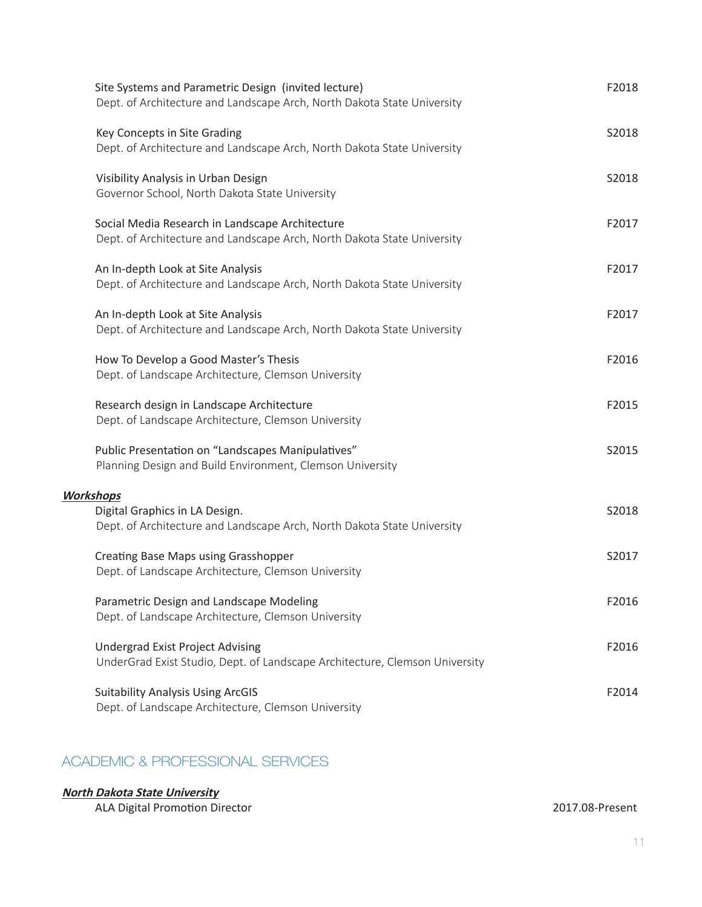| Site Systems and Parametric Design (invited lecture)<br>Dept. of Architecture and Landscape Arch, North Dakota State University | F2018 |
|---------------------------------------------------------------------------------------------------------------------------------|-------|
| Key Concepts in Site Grading<br>Dept. of Architecture and Landscape Arch, North Dakota State University                         | S2018 |
| Visibility Analysis in Urban Design<br>Governor School, North Dakota State University                                           | S2018 |
| Social Media Research in Landscape Architecture<br>Dept. of Architecture and Landscape Arch, North Dakota State University      | F2017 |
| An In-depth Look at Site Analysis<br>Dept. of Architecture and Landscape Arch, North Dakota State University                    | F2017 |
| An In-depth Look at Site Analysis<br>Dept. of Architecture and Landscape Arch, North Dakota State University                    | F2017 |
| How To Develop a Good Master's Thesis<br>Dept. of Landscape Architecture, Clemson University                                    | F2016 |
| Research design in Landscape Architecture<br>Dept. of Landscape Architecture, Clemson University                                | F2015 |
| Public Presentation on "Landscapes Manipulatives"<br>Planning Design and Build Environment, Clemson University                  | S2015 |
| <b>Workshops</b><br>Digital Graphics in LA Design.<br>Dept. of Architecture and Landscape Arch, North Dakota State University   | S2018 |
| Creating Base Maps using Grasshopper<br>Dept. of Landscape Architecture, Clemson University                                     | S2017 |
| Parametric Design and Landscape Modeling<br>Dept. of Landscape Architecture, Clemson University                                 | F2016 |
| <b>Undergrad Exist Project Advising</b><br>UnderGrad Exist Studio, Dept. of Landscape Architecture, Clemson University          | F2016 |
| <b>Suitability Analysis Using ArcGIS</b><br>Dept. of Landscape Architecture, Clemson University                                 | F2014 |

# ACADEMIC & PROFESSIONAL SERVICES

### **North Dakota State University**

ALA Digital Promotion Director 2017.08-Present